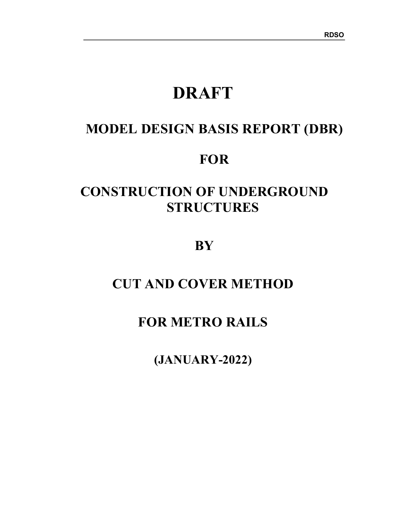# DRAFT

## MODEL DESIGN BASIS REPORT (DBR)

## **FOR**

## CONSTRUCTION OF UNDERGROUND **STRUCTURES**

**BY** 

## CUT AND COVER METHOD

## FOR METRO RAILS

(JANUARY-2022)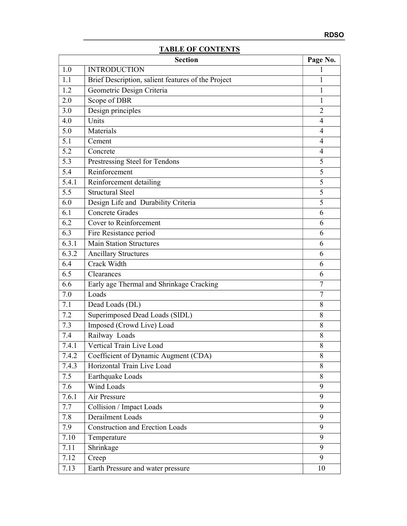## TABLE OF CONTENTS

|       | <b>Section</b>                                     | Page No.                 |
|-------|----------------------------------------------------|--------------------------|
| 1.0   | <b>INTRODUCTION</b>                                | $\mathbf{I}$             |
| 1.1   | Brief Description, salient features of the Project | 1                        |
| 1.2   | Geometric Design Criteria                          | 1                        |
| 2.0   | Scope of DBR                                       | 1                        |
| 3.0   | Design principles                                  | $\overline{2}$           |
| 4.0   | Units                                              | $\overline{\mathcal{A}}$ |
| 5.0   | Materials                                          | 4                        |
| 5.1   | Cement                                             | 4                        |
| 5.2   | Concrete                                           | 4                        |
| 5.3   | Prestressing Steel for Tendons                     | 5                        |
| 5.4   | Reinforcement                                      | 5                        |
| 5.4.1 | Reinforcement detailing                            | 5                        |
| 5.5   | <b>Structural Steel</b>                            | 5                        |
| 6.0   | Design Life and Durability Criteria                | 5                        |
| 6.1   | <b>Concrete Grades</b>                             | 6                        |
| 6.2   | Cover to Reinforcement                             | 6                        |
| 6.3   | Fire Resistance period                             | 6                        |
| 6.3.1 | <b>Main Station Structures</b>                     | 6                        |
| 6.3.2 | <b>Ancillary Structures</b>                        | 6                        |
| 6.4   | Crack Width                                        | 6                        |
| 6.5   | Clearances                                         | 6                        |
| 6.6   | Early age Thermal and Shrinkage Cracking           | 7                        |
| 7.0   | Loads                                              | $\overline{7}$           |
| 7.1   | Dead Loads (DL)                                    | 8                        |
| 7.2   | Superimposed Dead Loads (SIDL)                     | 8                        |
| 7.3   | Imposed (Crowd Live) Load                          | 8                        |
| 7.4   | Railway Loads                                      | 8                        |
| 7.4.1 | Vertical Train Live Load                           | 8                        |
| 7.4.2 | Coefficient of Dynamic Augment (CDA)               | 8                        |
| 7.4.3 | Horizontal Train Live Load                         | 8                        |
| 7.5   | Earthquake Loads                                   | 8                        |
| 7.6   | Wind Loads                                         | 9                        |
| 7.6.1 | Air Pressure                                       | 9                        |
| 7.7   | Collision / Impact Loads                           | 9                        |
| 7.8   | Derailment Loads                                   | 9                        |
| 7.9   | <b>Construction and Erection Loads</b>             | 9                        |
| 7.10  | Temperature                                        | 9                        |
| 7.11  | Shrinkage                                          | 9                        |
| 7.12  | Creep                                              | 9                        |
| 7.13  | Earth Pressure and water pressure                  | 10                       |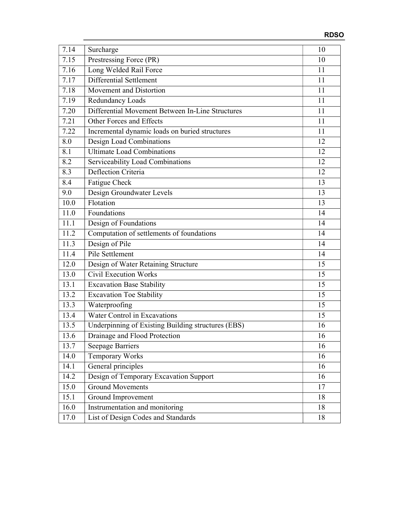| 7.14 | Surcharge                                          | 10 |
|------|----------------------------------------------------|----|
| 7.15 | Prestressing Force (PR)                            | 10 |
| 7.16 | Long Welded Rail Force                             | 11 |
| 7.17 | Differential Settlement                            | 11 |
| 7.18 | Movement and Distortion                            | 11 |
| 7.19 | Redundancy Loads                                   | 11 |
| 7.20 | Differential Movement Between In-Line Structures   | 11 |
| 7.21 | Other Forces and Effects                           | 11 |
| 7.22 | Incremental dynamic loads on buried structures     | 11 |
| 8.0  | Design Load Combinations                           | 12 |
| 8.1  | <b>Ultimate Load Combinations</b>                  | 12 |
| 8.2  | Serviceability Load Combinations                   | 12 |
| 8.3  | Deflection Criteria                                | 12 |
| 8.4  | Fatigue Check                                      | 13 |
| 9.0  | Design Groundwater Levels                          | 13 |
| 10.0 | Flotation                                          | 13 |
| 11.0 | Foundations                                        | 14 |
| 11.1 | Design of Foundations                              | 14 |
| 11.2 | Computation of settlements of foundations          | 14 |
| 11.3 |                                                    | 14 |
|      | Design of Pile<br>Pile Settlement                  | 14 |
| 11.4 |                                                    |    |
| 12.0 | Design of Water Retaining Structure                | 15 |
| 13.0 | Civil Execution Works                              | 15 |
| 13.1 | <b>Excavation Base Stability</b>                   | 15 |
| 13.2 | <b>Excavation Toe Stability</b>                    | 15 |
| 13.3 | Waterproofing                                      | 15 |
| 13.4 | Water Control in Excavations                       | 15 |
| 13.5 | Underpinning of Existing Building structures (EBS) | 16 |
| 13.6 | Drainage and Flood Protection                      | 16 |
| 13.7 | <b>Seepage Barriers</b>                            | 16 |
| 14.0 | Temporary Works                                    | 16 |
| 14.1 | General principles                                 | 16 |
| 14.2 | Design of Temporary Excavation Support             | 16 |
| 15.0 | <b>Ground Movements</b>                            | 17 |
| 15.1 | Ground Improvement                                 | 18 |
| 16.0 | Instrumentation and monitoring                     | 18 |
| 17.0 | List of Design Codes and Standards                 | 18 |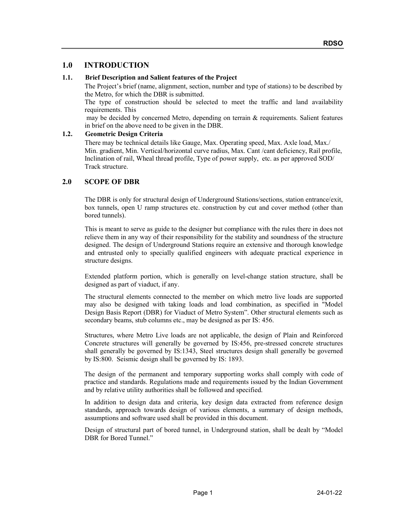## 1.0 INTRODUCTION

#### 1.1. Brief Description and Salient features of the Project

The Project's brief (name, alignment, section, number and type of stations) to be described by the Metro, for which the DBR is submitted.

The type of construction should be selected to meet the traffic and land availability requirements. This

 may be decided by concerned Metro, depending on terrain & requirements. Salient features in brief on the above need to be given in the DBR.

#### 1.2. Geometric Design Criteria

There may be technical details like Gauge, Max. Operating speed, Max. Axle load, Max./ Min. gradient, Min. Vertical/horizontal curve radius, Max. Cant /cant deficiency, Rail profile, Inclination of rail, Wheal thread profile, Type of power supply, etc. as per approved SOD/ Track structure.

## 2.0 SCOPE OF DBR

The DBR is only for structural design of Underground Stations/sections, station entrance/exit, box tunnels, open U ramp structures etc. construction by cut and cover method (other than bored tunnels).

This is meant to serve as guide to the designer but compliance with the rules there in does not relieve them in any way of their responsibility for the stability and soundness of the structure designed. The design of Underground Stations require an extensive and thorough knowledge and entrusted only to specially qualified engineers with adequate practical experience in structure designs.

Extended platform portion, which is generally on level-change station structure, shall be designed as part of viaduct, if any.

The structural elements connected to the member on which metro live loads are supported may also be designed with taking loads and load combination, as specified in "Model Design Basis Report (DBR) for Viaduct of Metro System". Other structural elements such as secondary beams, stub columns etc., may be designed as per IS: 456.

Structures, where Metro Live loads are not applicable, the design of Plain and Reinforced Concrete structures will generally be governed by IS:456, pre-stressed concrete structures shall generally be governed by IS:1343, Steel structures design shall generally be governed by IS:800. Seismic design shall be governed by IS: 1893.

The design of the permanent and temporary supporting works shall comply with code of practice and standards. Regulations made and requirements issued by the Indian Government and by relative utility authorities shall be followed and specified.

In addition to design data and criteria, key design data extracted from reference design standards, approach towards design of various elements, a summary of design methods, assumptions and software used shall be provided in this document.

Design of structural part of bored tunnel, in Underground station, shall be dealt by "Model DBR for Bored Tunnel."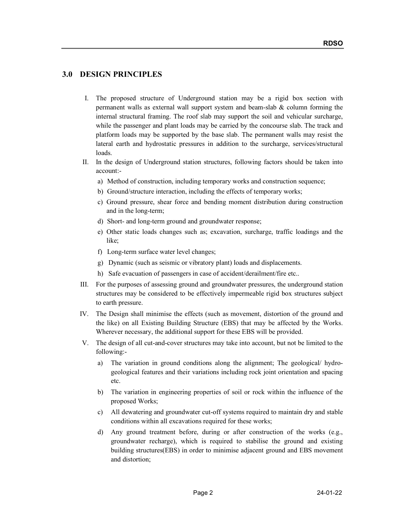## 3.0 DESIGN PRINCIPLES

- I. The proposed structure of Underground station may be a rigid box section with permanent walls as external wall support system and beam-slab & column forming the internal structural framing. The roof slab may support the soil and vehicular surcharge, while the passenger and plant loads may be carried by the concourse slab. The track and platform loads may be supported by the base slab. The permanent walls may resist the lateral earth and hydrostatic pressures in addition to the surcharge, services/structural loads.
- II. In the design of Underground station structures, following factors should be taken into account:
	- a) Method of construction, including temporary works and construction sequence;
	- b) Ground/structure interaction, including the effects of temporary works;
	- c) Ground pressure, shear force and bending moment distribution during construction and in the long-term;
	- d) Short- and long-term ground and groundwater response;
	- e) Other static loads changes such as; excavation, surcharge, traffic loadings and the like;
	- f) Long-term surface water level changes;
	- g) Dynamic (such as seismic or vibratory plant) loads and displacements.
	- h) Safe evacuation of passengers in case of accident/derailment/fire etc..
- III. For the purposes of assessing ground and groundwater pressures, the underground station structures may be considered to be effectively impermeable rigid box structures subject to earth pressure.
- IV. The Design shall minimise the effects (such as movement, distortion of the ground and the like) on all Existing Building Structure (EBS) that may be affected by the Works. Wherever necessary, the additional support for these EBS will be provided.
- V. The design of all cut-and-cover structures may take into account, but not be limited to the following:
	- a) The variation in ground conditions along the alignment; The geological/ hydrogeological features and their variations including rock joint orientation and spacing etc.
	- b) The variation in engineering properties of soil or rock within the influence of the proposed Works;
	- c) All dewatering and groundwater cut-off systems required to maintain dry and stable conditions within all excavations required for these works;
	- d) Any ground treatment before, during or after construction of the works (e.g., groundwater recharge), which is required to stabilise the ground and existing building structures(EBS) in order to minimise adjacent ground and EBS movement and distortion;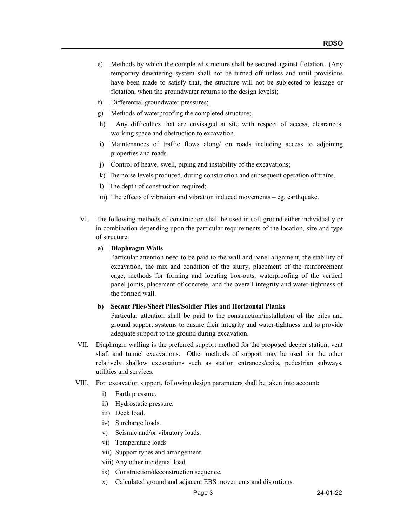- e) Methods by which the completed structure shall be secured against flotation. (Any temporary dewatering system shall not be turned off unless and until provisions have been made to satisfy that, the structure will not be subjected to leakage or flotation, when the groundwater returns to the design levels);
- f) Differential groundwater pressures;
- g) Methods of waterproofing the completed structure;
- h) Any difficulties that are envisaged at site with respect of access, clearances, working space and obstruction to excavation.
- i) Maintenances of traffic flows along/ on roads including access to adjoining properties and roads.
- j) Control of heave, swell, piping and instability of the excavations;
- k) The noise levels produced, during construction and subsequent operation of trains.
- l) The depth of construction required;
- m) The effects of vibration and vibration induced movements eg, earthquake.
- VI. The following methods of construction shall be used in soft ground either individually or in combination depending upon the particular requirements of the location, size and type of structure.

#### a) Diaphragm Walls

Particular attention need to be paid to the wall and panel alignment, the stability of excavation, the mix and condition of the slurry, placement of the reinforcement cage, methods for forming and locating box-outs, waterproofing of the vertical panel joints, placement of concrete, and the overall integrity and water-tightness of the formed wall.

#### b) Secant Piles/Sheet Piles/Soldier Piles and Horizontal Planks

 Particular attention shall be paid to the construction/installation of the piles and ground support systems to ensure their integrity and water-tightness and to provide adequate support to the ground during excavation.

- VII. Diaphragm walling is the preferred support method for the proposed deeper station, vent shaft and tunnel excavations. Other methods of support may be used for the other relatively shallow excavations such as station entrances/exits, pedestrian subways, utilities and services.
- VIII. For excavation support, following design parameters shall be taken into account:
	- i) Earth pressure.
	- ii) Hydrostatic pressure.
	- iii) Deck load.
	- iv) Surcharge loads.
	- v) Seismic and/or vibratory loads.
	- vi) Temperature loads
	- vii) Support types and arrangement.
	- viii) Any other incidental load.
	- ix) Construction/deconstruction sequence.
	- x) Calculated ground and adjacent EBS movements and distortions.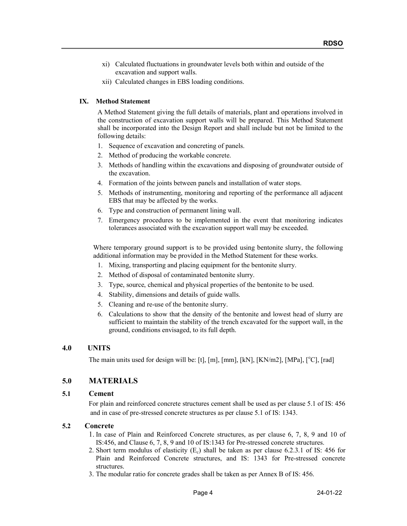- xi) Calculated fluctuations in groundwater levels both within and outside of the excavation and support walls.
- xii) Calculated changes in EBS loading conditions.

#### IX. Method Statement

A Method Statement giving the full details of materials, plant and operations involved in the construction of excavation support walls will be prepared. This Method Statement shall be incorporated into the Design Report and shall include but not be limited to the following details:

- 1. Sequence of excavation and concreting of panels.
- 2. Method of producing the workable concrete.
- 3. Methods of handling within the excavations and disposing of groundwater outside of the excavation.
- 4. Formation of the joints between panels and installation of water stops.
- 5. Methods of instrumenting, monitoring and reporting of the performance all adjacent EBS that may be affected by the works.
- 6. Type and construction of permanent lining wall.
- 7. Emergency procedures to be implemented in the event that monitoring indicates tolerances associated with the excavation support wall may be exceeded.

Where temporary ground support is to be provided using bentonite slurry, the following additional information may be provided in the Method Statement for these works.

- 1. Mixing, transporting and placing equipment for the bentonite slurry.
- 2. Method of disposal of contaminated bentonite slurry.
- 3. Type, source, chemical and physical properties of the bentonite to be used.
- 4. Stability, dimensions and details of guide walls.
- 5. Cleaning and re-use of the bentonite slurry.
- 6. Calculations to show that the density of the bentonite and lowest head of slurry are sufficient to maintain the stability of the trench excavated for the support wall, in the ground, conditions envisaged, to its full depth.

## 4.0 UNITS

The main units used for design will be: [t], [m], [mm], [kN], [KN/m2], [MPa], [°C], [rad]

## 5.0 MATERIALS

#### 5.1 Cement

 For plain and reinforced concrete structures cement shall be used as per clause 5.1 of IS: 456 and in case of pre-stressed concrete structures as per clause 5.1 of IS: 1343.

## 5.2 Concrete

- 1. In case of Plain and Reinforced Concrete structures, as per clause 6, 7, 8, 9 and 10 of IS:456, and Clause 6, 7, 8, 9 and 10 of IS:1343 for Pre-stressed concrete structures.
- 2. Short term modulus of elasticity  $(E_c)$  shall be taken as per clause 6.2.3.1 of IS: 456 for Plain and Reinforced Concrete structures, and IS: 1343 for Pre-stressed concrete structures.
- 3. The modular ratio for concrete grades shall be taken as per Annex B of IS: 456.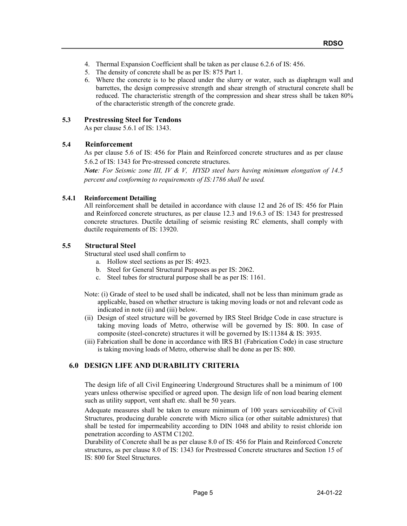- 4. Thermal Expansion Coefficient shall be taken as per clause 6.2.6 of IS: 456.
- 5. The density of concrete shall be as per IS: 875 Part 1.
- 6. Where the concrete is to be placed under the slurry or water, such as diaphragm wall and barrettes, the design compressive strength and shear strength of structural concrete shall be reduced. The characteristic strength of the compression and shear stress shall be taken 80% of the characteristic strength of the concrete grade.

#### 5.3 Prestressing Steel for Tendons

As per clause 5.6.1 of IS: 1343.

#### 5.4 Reinforcement

As per clause 5.6 of IS: 456 for Plain and Reinforced concrete structures and as per clause 5.6.2 of IS: 1343 for Pre-stressed concrete structures.

**Note:** For Seismic zone III, IV & V, HYSD steel bars having minimum elongation of 14.5 percent and conforming to requirements of IS:1786 shall be used.

#### 5.4.1 Reinforcement Detailing

All reinforcement shall be detailed in accordance with clause 12 and 26 of IS: 456 for Plain and Reinforced concrete structures, as per clause 12.3 and 19.6.3 of IS: 1343 for prestressed concrete structures. Ductile detailing of seismic resisting RC elements, shall comply with ductile requirements of IS: 13920.

## 5.5 Structural Steel

Structural steel used shall confirm to

- a. Hollow steel sections as per IS: 4923.
- b. Steel for General Structural Purposes as per IS: 2062.
- c. Steel tubes for structural purpose shall be as per IS: 1161.
- Note: (i) Grade of steel to be used shall be indicated, shall not be less than minimum grade as applicable, based on whether structure is taking moving loads or not and relevant code as indicated in note (ii) and (iii) below.
- (ii) Design of steel structure will be governed by IRS Steel Bridge Code in case structure is taking moving loads of Metro, otherwise will be governed by IS: 800. In case of composite (steel-concrete) structures it will be governed by IS:11384 & IS: 3935.
- (iii) Fabrication shall be done in accordance with IRS B1 (Fabrication Code) in case structure is taking moving loads of Metro, otherwise shall be done as per IS: 800.

## 6.0 DESIGN LIFE AND DURABILITY CRITERIA

The design life of all Civil Engineering Underground Structures shall be a minimum of 100 years unless otherwise specified or agreed upon. The design life of non load bearing element such as utility support, vent shaft etc. shall be 50 years.

Adequate measures shall be taken to ensure minimum of 100 years serviceability of Civil Structures, producing durable concrete with Micro silica (or other suitable admixtures) that shall be tested for impermeability according to DIN 1048 and ability to resist chloride ion penetration according to ASTM C1202.

Durability of Concrete shall be as per clause 8.0 of IS: 456 for Plain and Reinforced Concrete structures, as per clause 8.0 of IS: 1343 for Prestressed Concrete structures and Section 15 of IS: 800 for Steel Structures.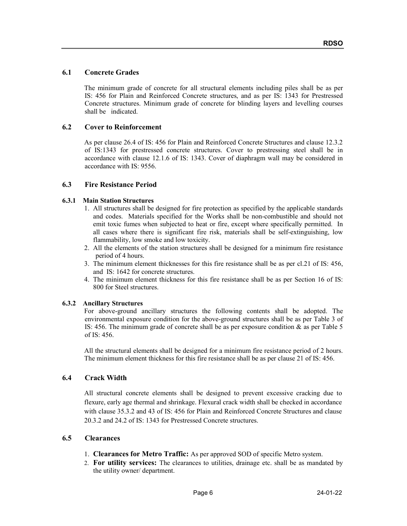## 6.1 Concrete Grades

The minimum grade of concrete for all structural elements including piles shall be as per IS: 456 for Plain and Reinforced Concrete structures, and as per IS: 1343 for Prestressed Concrete structures. Minimum grade of concrete for blinding layers and levelling courses shall be indicated.

#### 6.2 Cover to Reinforcement

As per clause 26.4 of IS: 456 for Plain and Reinforced Concrete Structures and clause 12.3.2 of IS:1343 for prestressed concrete structures. Cover to prestressing steel shall be in accordance with clause 12.1.6 of IS: 1343. Cover of diaphragm wall may be considered in accordance with IS: 9556.

#### 6.3 Fire Resistance Period

#### 6.3.1 Main Station Structures

- 1. All structures shall be designed for fire protection as specified by the applicable standards and codes. Materials specified for the Works shall be non-combustible and should not emit toxic fumes when subjected to heat or fire, except where specifically permitted. In all cases where there is significant fire risk, materials shall be self-extinguishing, low flammability, low smoke and low toxicity.
- 2. All the elements of the station structures shall be designed for a minimum fire resistance period of 4 hours.
- 3. The minimum element thicknesses for this fire resistance shall be as per cl.21 of IS: 456, and IS: 1642 for concrete structures.
- 4. The minimum element thickness for this fire resistance shall be as per Section 16 of IS: 800 for Steel structures.

#### 6.3.2 Ancillary Structures

For above-ground ancillary structures the following contents shall be adopted. The environmental exposure condition for the above-ground structures shall be as per Table 3 of IS: 456. The minimum grade of concrete shall be as per exposure condition & as per Table 5 of IS: 456.

All the structural elements shall be designed for a minimum fire resistance period of 2 hours. The minimum element thickness for this fire resistance shall be as per clause 21 of IS: 456.

## 6.4 Crack Width

All structural concrete elements shall be designed to prevent excessive cracking due to flexure, early age thermal and shrinkage. Flexural crack width shall be checked in accordance with clause 35.3.2 and 43 of IS: 456 for Plain and Reinforced Concrete Structures and clause 20.3.2 and 24.2 of IS: 1343 for Prestressed Concrete structures.

#### 6.5 Clearances

- 1. Clearances for Metro Traffic: As per approved SOD of specific Metro system.
- 2. For utility services: The clearances to utilities, drainage etc. shall be as mandated by the utility owner/ department.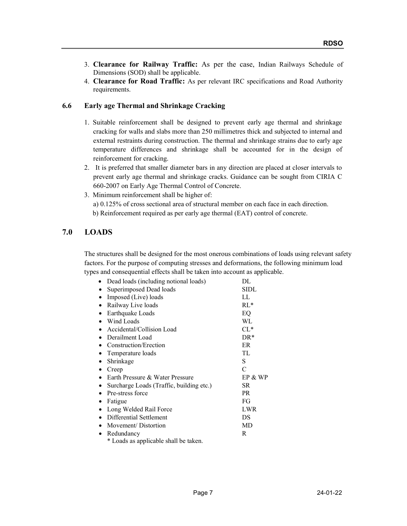- 3. Clearance for Railway Traffic: As per the case, Indian Railways Schedule of Dimensions (SOD) shall be applicable.
- 4. Clearance for Road Traffic: As per relevant IRC specifications and Road Authority requirements.

## 6.6 Early age Thermal and Shrinkage Cracking

- 1. Suitable reinforcement shall be designed to prevent early age thermal and shrinkage cracking for walls and slabs more than 250 millimetres thick and subjected to internal and external restraints during construction. The thermal and shrinkage strains due to early age temperature differences and shrinkage shall be accounted for in the design of reinforcement for cracking.
- 2. It is preferred that smaller diameter bars in any direction are placed at closer intervals to prevent early age thermal and shrinkage cracks. Guidance can be sought from CIRIA C 660-2007 on Early Age Thermal Control of Concrete.
- 3. Minimum reinforcement shall be higher of: a) 0.125% of cross sectional area of structural member on each face in each direction. b) Reinforcement required as per early age thermal (EAT) control of concrete.

## 7.0 LOADS

The structures shall be designed for the most onerous combinations of loads using relevant safety factors. For the purpose of computing stresses and deformations, the following minimum load types and consequential effects shall be taken into account as applicable.

| Dead loads (including notional loads)    | DL         |
|------------------------------------------|------------|
| Superimposed Dead loads                  | SIDL       |
| Imposed (Live) loads                     | LL         |
| Railway Live loads                       | $RL*$      |
| Earthquake Loads                         | EQ         |
| Wind Loads                               | WL         |
| Accidental/Collision Load                | $CL*$      |
| Derailment Load                          | $DR*$      |
| Construction/Erection                    | ER         |
| Temperature loads                        | TL         |
| Shrinkage                                | S          |
| Creep                                    | $\subset$  |
| Earth Pressure & Water Pressure          | EP & WP    |
| Surcharge Loads (Traffic, building etc.) | SR         |
| Pre-stress force                         | PR.        |
| Fatigue                                  | FG         |
| Long Welded Rail Force                   | <b>LWR</b> |
| Differential Settlement                  | DS         |
| Movement/Distortion                      | MD         |
| Redundancy                               | R          |
| * Loads as applicable shall be taken.    |            |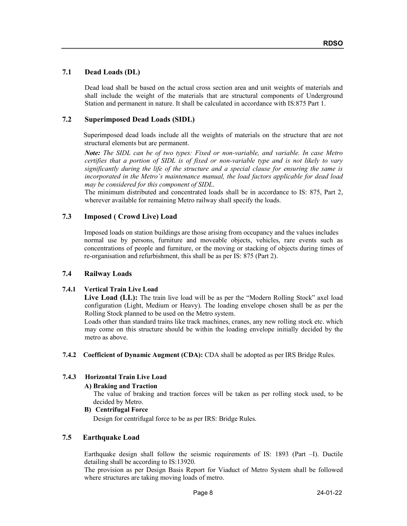## 7.1 Dead Loads (DL)

Dead load shall be based on the actual cross section area and unit weights of materials and shall include the weight of the materials that are structural components of Underground Station and permanent in nature. It shall be calculated in accordance with IS:875 Part 1.

#### 7.2 Superimposed Dead Loads (SIDL)

 Superimposed dead loads include all the weights of materials on the structure that are not structural elements but are permanent.

Note: The SIDL can be of two types: Fixed or non-variable, and variable. In case Metro certifies that a portion of SIDL is of fixed or non-variable type and is not likely to vary significantly during the life of the structure and a special clause for ensuring the same is incorporated in the Metro's maintenance manual, the load factors applicable for dead load may be considered for this component of SIDL.

The minimum distributed and concentrated loads shall be in accordance to IS: 875, Part 2, wherever available for remaining Metro railway shall specify the loads.

#### 7.3 Imposed ( Crowd Live) Load

Imposed loads on station buildings are those arising from occupancy and the values includes normal use by persons, furniture and moveable objects, vehicles, rare events such as concentrations of people and furniture, or the moving or stacking of objects during times of re-organisation and refurbishment, this shall be as per IS: 875 (Part 2).

#### 7.4 Railway Loads

#### 7.4.1 Vertical Train Live Load

Live Load (LL): The train live load will be as per the "Modern Rolling Stock" axel load configuration (Light, Medium or Heavy). The loading envelope chosen shall be as per the Rolling Stock planned to be used on the Metro system.

Loads other than standard trains like track machines, cranes, any new rolling stock etc. which may come on this structure should be within the loading envelope initially decided by the metro as above.

7.4.2 Coefficient of Dynamic Augment (CDA): CDA shall be adopted as per IRS Bridge Rules.

#### 7.4.3 Horizontal Train Live Load

#### A) Braking and Traction

The value of braking and traction forces will be taken as per rolling stock used, to be decided by Metro.

#### B) Centrifugal Force

Design for centrifugal force to be as per IRS: Bridge Rules.

#### 7.5 Earthquake Load

 Earthquake design shall follow the seismic requirements of IS: 1893 (Part –I). Ductile detailing shall be according to IS:13920.

The provision as per Design Basis Report for Viaduct of Metro System shall be followed where structures are taking moving loads of metro.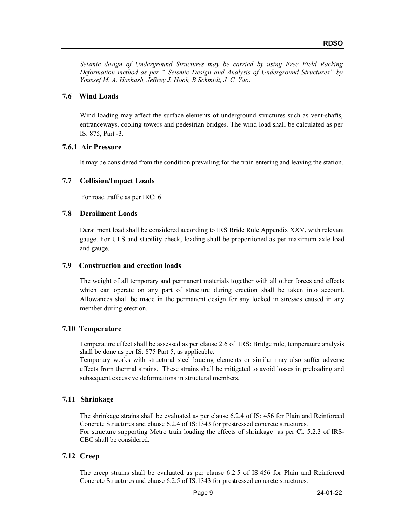Seismic design of Underground Structures may be carried by using Free Field Racking Deformation method as per " Seismic Design and Analysis of Underground Structures" by Youssef M. A. Hashash, Jeffrey J. Hook, B Schmidt, J. C. Yao.

#### 7.6 Wind Loads

Wind loading may affect the surface elements of underground structures such as vent-shafts, entranceways, cooling towers and pedestrian bridges. The wind load shall be calculated as per IS: 875, Part -3.

#### 7.6.1 Air Pressure

It may be considered from the condition prevailing for the train entering and leaving the station.

## 7.7 Collision/Impact Loads

For road traffic as per IRC: 6.

## 7.8 Derailment Loads

 Derailment load shall be considered according to IRS Bride Rule Appendix XXV, with relevant gauge. For ULS and stability check, loading shall be proportioned as per maximum axle load and gauge.

#### 7.9 Construction and erection loads

The weight of all temporary and permanent materials together with all other forces and effects which can operate on any part of structure during erection shall be taken into account. Allowances shall be made in the permanent design for any locked in stresses caused in any member during erection.

## 7.10 Temperature

Temperature effect shall be assessed as per clause 2.6 of IRS: Bridge rule, temperature analysis shall be done as per IS: 875 Part 5, as applicable.

Temporary works with structural steel bracing elements or similar may also suffer adverse effects from thermal strains. These strains shall be mitigated to avoid losses in preloading and subsequent excessive deformations in structural members.

## 7.11 Shrinkage

The shrinkage strains shall be evaluated as per clause 6.2.4 of IS: 456 for Plain and Reinforced Concrete Structures and clause 6.2.4 of IS:1343 for prestressed concrete structures. For structure supporting Metro train loading the effects of shrinkage as per Cl. 5.2.3 of IRS-CBC shall be considered.

## 7.12 Creep

The creep strains shall be evaluated as per clause 6.2.5 of IS:456 for Plain and Reinforced Concrete Structures and clause 6.2.5 of IS:1343 for prestressed concrete structures.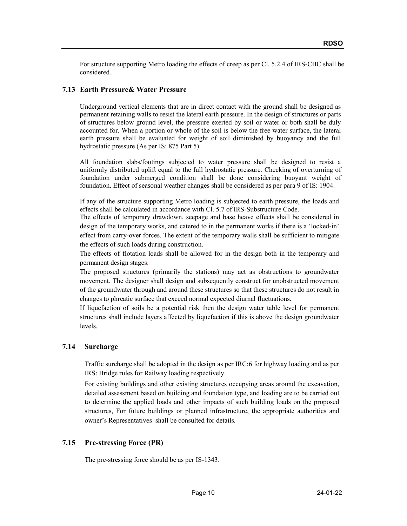For structure supporting Metro loading the effects of creep as per Cl. 5.2.4 of IRS-CBC shall be considered.

## 7.13 Earth Pressure& Water Pressure

Underground vertical elements that are in direct contact with the ground shall be designed as permanent retaining walls to resist the lateral earth pressure. In the design of structures or parts of structures below ground level, the pressure exerted by soil or water or both shall be duly accounted for. When a portion or whole of the soil is below the free water surface, the lateral earth pressure shall be evaluated for weight of soil diminished by buoyancy and the full hydrostatic pressure (As per IS: 875 Part 5).

All foundation slabs/footings subjected to water pressure shall be designed to resist a uniformly distributed uplift equal to the full hydrostatic pressure. Checking of overturning of foundation under submerged condition shall be done considering buoyant weight of foundation. Effect of seasonal weather changes shall be considered as per para 9 of IS: 1904.

If any of the structure supporting Metro loading is subjected to earth pressure, the loads and effects shall be calculated in accordance with Cl. 5.7 of IRS-Substructure Code.

The effects of temporary drawdown, seepage and base heave effects shall be considered in design of the temporary works, and catered to in the permanent works if there is a 'locked-in' effect from carry-over forces. The extent of the temporary walls shall be sufficient to mitigate the effects of such loads during construction.

The effects of flotation loads shall be allowed for in the design both in the temporary and permanent design stages.

The proposed structures (primarily the stations) may act as obstructions to groundwater movement. The designer shall design and subsequently construct for unobstructed movement of the groundwater through and around these structures so that these structures do not result in changes to phreatic surface that exceed normal expected diurnal fluctuations.

If liquefaction of soils be a potential risk then the design water table level for permanent structures shall include layers affected by liquefaction if this is above the design groundwater levels.

## 7.14 Surcharge

Traffic surcharge shall be adopted in the design as per IRC:6 for highway loading and as per IRS: Bridge rules for Railway loading respectively.

For existing buildings and other existing structures occupying areas around the excavation, detailed assessment based on building and foundation type, and loading are to be carried out to determine the applied loads and other impacts of such building loads on the proposed structures, For future buildings or planned infrastructure, the appropriate authorities and owner's Representatives shall be consulted for details.

## 7.15 Pre-stressing Force (PR)

The pre-stressing force should be as per IS-1343.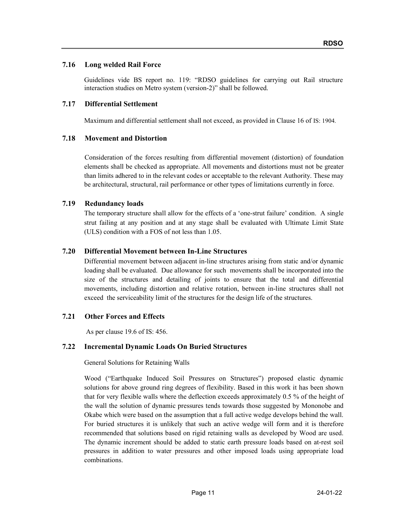## 7.16 Long welded Rail Force

Guidelines vide BS report no. 119: "RDSO guidelines for carrying out Rail structure interaction studies on Metro system (version-2)" shall be followed.

#### 7.17 Differential Settlement

Maximum and differential settlement shall not exceed, as provided in Clause 16 of IS: 1904.

#### 7.18 Movement and Distortion

Consideration of the forces resulting from differential movement (distortion) of foundation elements shall be checked as appropriate. All movements and distortions must not be greater than limits adhered to in the relevant codes or acceptable to the relevant Authority. These may be architectural, structural, rail performance or other types of limitations currently in force.

#### 7.19 Redundancy loads

The temporary structure shall allow for the effects of a 'one-strut failure' condition. A single strut failing at any position and at any stage shall be evaluated with Ultimate Limit State (ULS) condition with a FOS of not less than 1.05.

#### 7.20 Differential Movement between In-Line Structures

Differential movement between adjacent in-line structures arising from static and/or dynamic loading shall be evaluated. Due allowance for such movements shall be incorporated into the size of the structures and detailing of joints to ensure that the total and differential movements, including distortion and relative rotation, between in-line structures shall not exceed the serviceability limit of the structures for the design life of the structures.

## 7.21 Other Forces and Effects

As per clause 19.6 of IS: 456.

#### 7.22 Incremental Dynamic Loads On Buried Structures

General Solutions for Retaining Walls

Wood ("Earthquake Induced Soil Pressures on Structures") proposed elastic dynamic solutions for above ground ring degrees of flexibility. Based in this work it has been shown that for very flexible walls where the deflection exceeds approximately 0.5 % of the height of the wall the solution of dynamic pressures tends towards those suggested by Mononobe and Okabe which were based on the assumption that a full active wedge develops behind the wall. For buried structures it is unlikely that such an active wedge will form and it is therefore recommended that solutions based on rigid retaining walls as developed by Wood are used. The dynamic increment should be added to static earth pressure loads based on at-rest soil pressures in addition to water pressures and other imposed loads using appropriate load combinations.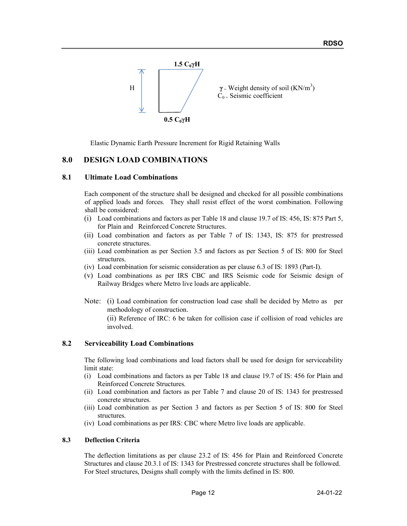

Elastic Dynamic Earth Pressure Increment for Rigid Retaining Walls

## 8.0 DESIGN LOAD COMBINATIONS

#### 8.1 Ultimate Load Combinations

Each component of the structure shall be designed and checked for all possible combinations of applied loads and forces. They shall resist effect of the worst combination. Following shall be considered:

- (i) Load combinations and factors as per Table 18 and clause 19.7 of IS: 456, IS: 875 Part 5, for Plain and Reinforced Concrete Structures.
- (ii) Load combination and factors as per Table 7 of IS: 1343, IS: 875 for prestressed concrete structures.
- (iii) Load combination as per Section 3.5 and factors as per Section 5 of IS: 800 for Steel structures.
- (iv) Load combination for seismic consideration as per clause 6.3 of IS: 1893 (Part-I).
- (v) Load combinations as per IRS CBC and IRS Seismic code for Seismic design of Railway Bridges where Metro live loads are applicable.
- Note: (i) Load combination for construction load case shall be decided by Metro as per methodology of construction.

(ii) Reference of IRC: 6 be taken for collision case if collision of road vehicles are involved.

#### 8.2 Serviceability Load Combinations

The following load combinations and load factors shall be used for design for serviceability limit state:

- (i) Load combinations and factors as per Table 18 and clause 19.7 of IS: 456 for Plain and Reinforced Concrete Structures.
- (ii) Load combination and factors as per Table 7 and clause 20 of IS: 1343 for prestressed concrete structures.
- (iii) Load combination as per Section 3 and factors as per Section 5 of IS: 800 for Steel structures.
- (iv) Load combinations as per IRS: CBC where Metro live loads are applicable.

#### 8.3 Deflection Criteria

The deflection limitations as per clause 23.2 of IS: 456 for Plain and Reinforced Concrete Structures and clause 20.3.1 of IS: 1343 for Prestressed concrete structures shall be followed. For Steel structures, Designs shall comply with the limits defined in IS: 800.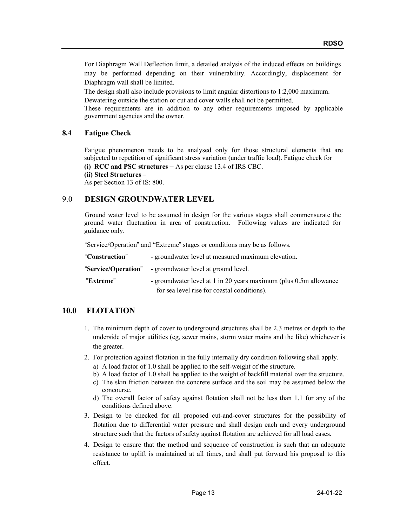For Diaphragm Wall Deflection limit, a detailed analysis of the induced effects on buildings may be performed depending on their vulnerability. Accordingly, displacement for Diaphragm wall shall be limited.

The design shall also include provisions to limit angular distortions to 1:2,000 maximum.

Dewatering outside the station or cut and cover walls shall not be permitted. These requirements are in addition to any other requirements imposed by applicable

government agencies and the owner.

## 8.4 Fatigue Check

Fatigue phenomenon needs to be analysed only for those structural elements that are subjected to repetition of significant stress variation (under traffic load). Fatigue check for (i) RCC and PSC structures – As per clause 13.4 of IRS CBC.

(ii) Steel Structures –

As per Section 13 of IS: 800.

## 9.0 DESIGN GROUNDWATER LEVEL

Ground water level to be assumed in design for the various stages shall commensurate the ground water fluctuation in area of construction. Following values are indicated for guidance only.

"Service/Operation" and "Extreme" stages or conditions may be as follows.

| "Construction"      | - groundwater level at measured maximum elevation.                |
|---------------------|-------------------------------------------------------------------|
| "Service/Operation" | - groundwater level at ground level.                              |
| "Extreme"           | - groundwater level at 1 in 20 years maximum (plus 0.5m allowance |
|                     | for sea level rise for coastal conditions).                       |

## 10.0 FLOTATION

- 1. The minimum depth of cover to underground structures shall be 2.3 metres or depth to the underside of major utilities (eg, sewer mains, storm water mains and the like) whichever is the greater.
- 2. For protection against flotation in the fully internally dry condition following shall apply.
	- a) A load factor of 1.0 shall be applied to the self-weight of the structure.
	- b) A load factor of 1.0 shall be applied to the weight of backfill material over the structure.
	- c) The skin friction between the concrete surface and the soil may be assumed below the concourse.
	- d) The overall factor of safety against flotation shall not be less than 1.1 for any of the conditions defined above.
- 3. Design to be checked for all proposed cut-and-cover structures for the possibility of flotation due to differential water pressure and shall design each and every underground structure such that the factors of safety against flotation are achieved for all load cases.
- 4. Design to ensure that the method and sequence of construction is such that an adequate resistance to uplift is maintained at all times, and shall put forward his proposal to this effect.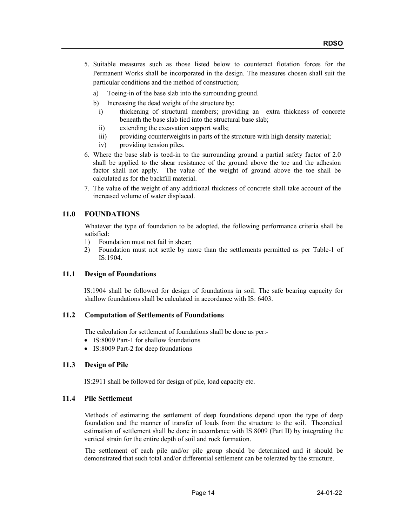- 5. Suitable measures such as those listed below to counteract flotation forces for the Permanent Works shall be incorporated in the design. The measures chosen shall suit the particular conditions and the method of construction;
	- a) Toeing-in of the base slab into the surrounding ground.
	- b) Increasing the dead weight of the structure by:
		- i) thickening of structural members; providing an extra thickness of concrete beneath the base slab tied into the structural base slab;
		- ii) extending the excavation support walls;
		- iii) providing counterweights in parts of the structure with high density material;
		- iv) providing tension piles.
- 6. Where the base slab is toed-in to the surrounding ground a partial safety factor of 2.0 shall be applied to the shear resistance of the ground above the toe and the adhesion factor shall not apply. The value of the weight of ground above the toe shall be calculated as for the backfill material.
- 7. The value of the weight of any additional thickness of concrete shall take account of the increased volume of water displaced.

## 11.0 FOUNDATIONS

 Whatever the type of foundation to be adopted, the following performance criteria shall be satisfied:

- 1) Foundation must not fail in shear;
- 2) Foundation must not settle by more than the settlements permitted as per Table-1 of IS:1904.

## 11.1 Design of Foundations

 IS:1904 shall be followed for design of foundations in soil. The safe bearing capacity for shallow foundations shall be calculated in accordance with IS: 6403.

## 11.2 Computation of Settlements of Foundations

The calculation for settlement of foundations shall be done as per:-

- IS:8009 Part-1 for shallow foundations
- IS:8009 Part-2 for deep foundations

## 11.3 Design of Pile

IS:2911 shall be followed for design of pile, load capacity etc.

#### 11.4 Pile Settlement

Methods of estimating the settlement of deep foundations depend upon the type of deep foundation and the manner of transfer of loads from the structure to the soil. Theoretical estimation of settlement shall be done in accordance with IS 8009 (Part II) by integrating the vertical strain for the entire depth of soil and rock formation.

 The settlement of each pile and/or pile group should be determined and it should be demonstrated that such total and/or differential settlement can be tolerated by the structure.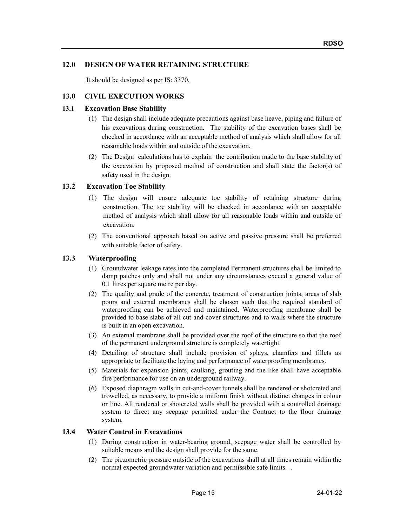## 12.0 DESIGN OF WATER RETAINING STRUCTURE

It should be designed as per IS: 3370.

#### 13.0 CIVIL EXECUTION WORKS

#### 13.1 Excavation Base Stability

- (1) The design shall include adequate precautions against base heave, piping and failure of his excavations during construction. The stability of the excavation bases shall be checked in accordance with an acceptable method of analysis which shall allow for all reasonable loads within and outside of the excavation.
- (2) The Design calculations has to explain the contribution made to the base stability of the excavation by proposed method of construction and shall state the factor(s) of safety used in the design.

## 13.2 Excavation Toe Stability

- (1) The design will ensure adequate toe stability of retaining structure during construction. The toe stability will be checked in accordance with an acceptable method of analysis which shall allow for all reasonable loads within and outside of excavation.
- (2) The conventional approach based on active and passive pressure shall be preferred with suitable factor of safety.

#### 13.3 Waterproofing

- (1) Groundwater leakage rates into the completed Permanent structures shall be limited to damp patches only and shall not under any circumstances exceed a general value of 0.1 litres per square metre per day.
- (2) The quality and grade of the concrete, treatment of construction joints, areas of slab pours and external membranes shall be chosen such that the required standard of waterproofing can be achieved and maintained. Waterproofing membrane shall be provided to base slabs of all cut-and-cover structures and to walls where the structure is built in an open excavation.
- (3) An external membrane shall be provided over the roof of the structure so that the roof of the permanent underground structure is completely watertight.
- (4) Detailing of structure shall include provision of splays, chamfers and fillets as appropriate to facilitate the laying and performance of waterproofing membranes.
- (5) Materials for expansion joints, caulking, grouting and the like shall have acceptable fire performance for use on an underground railway.
- (6) Exposed diaphragm walls in cut-and-cover tunnels shall be rendered or shotcreted and trowelled, as necessary, to provide a uniform finish without distinct changes in colour or line. All rendered or shotcreted walls shall be provided with a controlled drainage system to direct any seepage permitted under the Contract to the floor drainage system.

#### 13.4 Water Control in Excavations

- (1) During construction in water-bearing ground, seepage water shall be controlled by suitable means and the design shall provide for the same.
- (2) The piezometric pressure outside of the excavations shall at all times remain within the normal expected groundwater variation and permissible safe limits. .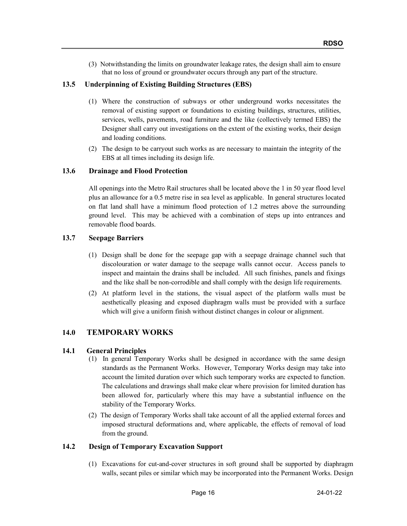(3) Notwithstanding the limits on groundwater leakage rates, the design shall aim to ensure that no loss of ground or groundwater occurs through any part of the structure.

## 13.5 Underpinning of Existing Building Structures (EBS)

- (1) Where the construction of subways or other underground works necessitates the removal of existing support or foundations to existing buildings, structures, utilities, services, wells, pavements, road furniture and the like (collectively termed EBS) the Designer shall carry out investigations on the extent of the existing works, their design and loading conditions.
- (2) The design to be carryout such works as are necessary to maintain the integrity of the EBS at all times including its design life.

## 13.6 Drainage and Flood Protection

All openings into the Metro Rail structures shall be located above the 1 in 50 year flood level plus an allowance for a 0.5 metre rise in sea level as applicable. In general structures located on flat land shall have a minimum flood protection of 1.2 metres above the surrounding ground level. This may be achieved with a combination of steps up into entrances and removable flood boards.

## 13.7 Seepage Barriers

- (1) Design shall be done for the seepage gap with a seepage drainage channel such that discolouration or water damage to the seepage walls cannot occur. Access panels to inspect and maintain the drains shall be included. All such finishes, panels and fixings and the like shall be non-corrodible and shall comply with the design life requirements.
- (2) At platform level in the stations, the visual aspect of the platform walls must be aesthetically pleasing and exposed diaphragm walls must be provided with a surface which will give a uniform finish without distinct changes in colour or alignment.

## 14.0 TEMPORARY WORKS

## 14.1 General Principles

- (1) In general Temporary Works shall be designed in accordance with the same design standards as the Permanent Works. However, Temporary Works design may take into account the limited duration over which such temporary works are expected to function. The calculations and drawings shall make clear where provision for limited duration has been allowed for, particularly where this may have a substantial influence on the stability of the Temporary Works.
- (2) The design of Temporary Works shall take account of all the applied external forces and imposed structural deformations and, where applicable, the effects of removal of load from the ground.

## 14.2 Design of Temporary Excavation Support

(1) Excavations for cut-and-cover structures in soft ground shall be supported by diaphragm walls, secant piles or similar which may be incorporated into the Permanent Works. Design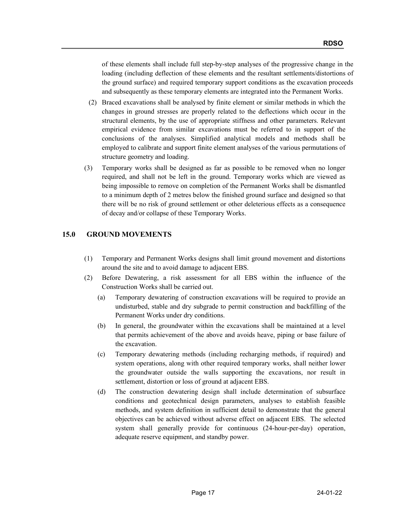of these elements shall include full step-by-step analyses of the progressive change in the loading (including deflection of these elements and the resultant settlements/distortions of the ground surface) and required temporary support conditions as the excavation proceeds and subsequently as these temporary elements are integrated into the Permanent Works.

- (2) Braced excavations shall be analysed by finite element or similar methods in which the changes in ground stresses are properly related to the deflections which occur in the structural elements, by the use of appropriate stiffness and other parameters. Relevant empirical evidence from similar excavations must be referred to in support of the conclusions of the analyses. Simplified analytical models and methods shall be employed to calibrate and support finite element analyses of the various permutations of structure geometry and loading.
- (3) Temporary works shall be designed as far as possible to be removed when no longer required, and shall not be left in the ground. Temporary works which are viewed as being impossible to remove on completion of the Permanent Works shall be dismantled to a minimum depth of 2 metres below the finished ground surface and designed so that there will be no risk of ground settlement or other deleterious effects as a consequence of decay and/or collapse of these Temporary Works.

## 15.0 GROUND MOVEMENTS

- (1) Temporary and Permanent Works designs shall limit ground movement and distortions around the site and to avoid damage to adjacent EBS.
- (2) Before Dewatering, a risk assessment for all EBS within the influence of the Construction Works shall be carried out.
	- (a) Temporary dewatering of construction excavations will be required to provide an undisturbed, stable and dry subgrade to permit construction and backfilling of the Permanent Works under dry conditions.
	- (b) In general, the groundwater within the excavations shall be maintained at a level that permits achievement of the above and avoids heave, piping or base failure of the excavation.
	- (c) Temporary dewatering methods (including recharging methods, if required) and system operations, along with other required temporary works, shall neither lower the groundwater outside the walls supporting the excavations, nor result in settlement, distortion or loss of ground at adjacent EBS.
	- (d) The construction dewatering design shall include determination of subsurface conditions and geotechnical design parameters, analyses to establish feasible methods, and system definition in sufficient detail to demonstrate that the general objectives can be achieved without adverse effect on adjacent EBS. The selected system shall generally provide for continuous (24-hour-per-day) operation, adequate reserve equipment, and standby power.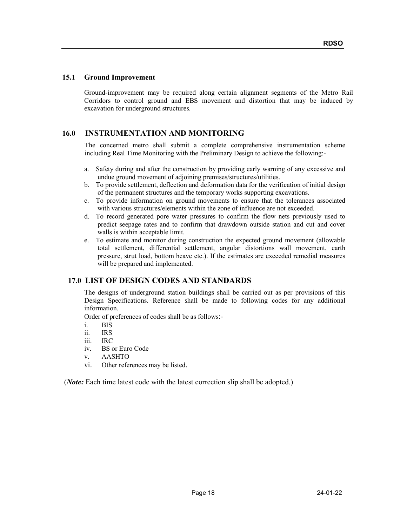#### 15.1 Ground Improvement

Ground-improvement may be required along certain alignment segments of the Metro Rail Corridors to control ground and EBS movement and distortion that may be induced by excavation for underground structures.

## 16.0 INSTRUMENTATION AND MONITORING

The concerned metro shall submit a complete comprehensive instrumentation scheme including Real Time Monitoring with the Preliminary Design to achieve the following:-

- a. Safety during and after the construction by providing early warning of any excessive and undue ground movement of adjoining premises/structures/utilities.
- b. To provide settlement, deflection and deformation data for the verification of initial design of the permanent structures and the temporary works supporting excavations.
- c. To provide information on ground movements to ensure that the tolerances associated with various structures/elements within the zone of influence are not exceeded.
- d. To record generated pore water pressures to confirm the flow nets previously used to predict seepage rates and to confirm that drawdown outside station and cut and cover walls is within acceptable limit.
- e. To estimate and monitor during construction the expected ground movement (allowable total settlement, differential settlement, angular distortions wall movement, earth pressure, strut load, bottom heave etc.). If the estimates are exceeded remedial measures will be prepared and implemented.

## 17.0 LIST OF DESIGN CODES AND STANDARDS

The designs of underground station buildings shall be carried out as per provisions of this Design Specifications. Reference shall be made to following codes for any additional information.

Order of preferences of codes shall be as follows:-

- i. BIS
- ii. IRS
- iii. IRC
- iv. BS or Euro Code
- v. AASHTO
- vi. Other references may be listed.

(*Note*: Each time latest code with the latest correction slip shall be adopted.)